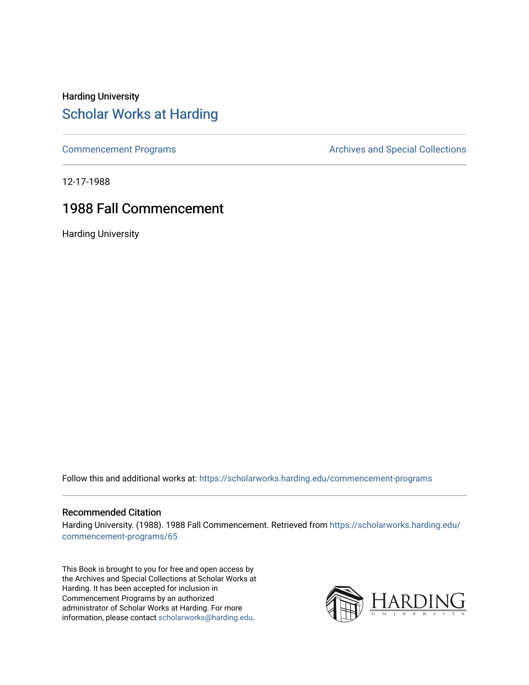#### Harding University [Scholar Works at Harding](https://scholarworks.harding.edu/)

[Commencement Programs](https://scholarworks.harding.edu/commencement-programs) **Archives and Special Collections** Archives and Special Collections

12-17-1988

#### 1988 Fall Commencement

Harding University

Follow this and additional works at: [https://scholarworks.harding.edu/commencement-programs](https://scholarworks.harding.edu/commencement-programs?utm_source=scholarworks.harding.edu%2Fcommencement-programs%2F65&utm_medium=PDF&utm_campaign=PDFCoverPages)

#### Recommended Citation

Harding University. (1988). 1988 Fall Commencement. Retrieved from [https://scholarworks.harding.edu/](https://scholarworks.harding.edu/commencement-programs/65?utm_source=scholarworks.harding.edu%2Fcommencement-programs%2F65&utm_medium=PDF&utm_campaign=PDFCoverPages) [commencement-programs/65](https://scholarworks.harding.edu/commencement-programs/65?utm_source=scholarworks.harding.edu%2Fcommencement-programs%2F65&utm_medium=PDF&utm_campaign=PDFCoverPages) 

This Book is brought to you for free and open access by the Archives and Special Collections at Scholar Works at Harding. It has been accepted for inclusion in Commencement Programs by an authorized administrator of Scholar Works at Harding. For more information, please contact [scholarworks@harding.edu.](mailto:scholarworks@harding.edu)

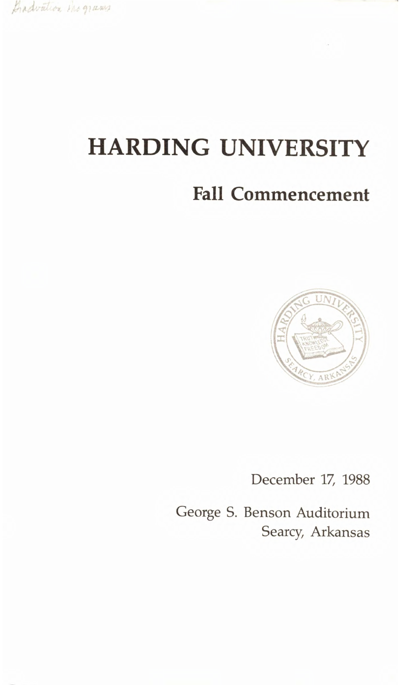Gradvation the grams

# **HARDING UNIVERSITY**

## **Fall Commencement**



December 17, 1988

George S. Benson Auditorium Searcy, Arkansas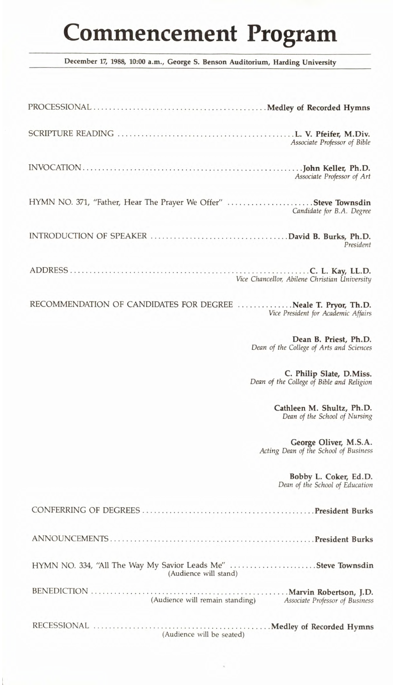# **Commencement Program**

**December 17, 1988, 10:00 a.m., George S. Benson Auditorium, Harding University** 

| Associate Professor of Bible                                                                         |
|------------------------------------------------------------------------------------------------------|
| Associate Professor of Art                                                                           |
| HYMN NO. 371, "Father, Hear The Prayer We Offer" Steve Townsdin<br>Candidate for B.A. Degree         |
| President                                                                                            |
| Vice Chancellor, Abilene Christian University                                                        |
| RECOMMENDATION OF CANDIDATES FOR DEGREE Neale T. Pryor, Th.D.<br>Vice President for Academic Affairs |
| Dean B. Priest, Ph.D.<br>Dean of the College of Arts and Sciences                                    |
| C. Philip Slate, D.Miss.<br>Dean of the College of Bible and Religion                                |
| Cathleen M. Shultz, Ph.D.<br>Dean of the School of Nursing                                           |
| George Oliver, M.S.A.<br>Acting Dean of the School of Business                                       |
| Bobby L. Coker, Ed.D.<br>Dean of the School of Education                                             |
|                                                                                                      |
|                                                                                                      |
| HYMN NO. 334, "All The Way My Savior Leads Me" Steve Townsdin<br>(Audience will stand)               |
| (Audience will remain standing) Associate Professor of Business                                      |
| (Audience will be seated)                                                                            |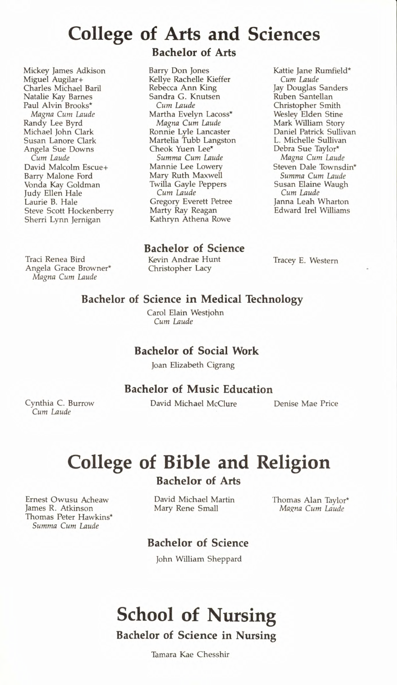### **College of Arts and Sciences**

Mickey James Adkison Miguel Augilar+ Charles Michael Baril Natalie Kay Barnes Paul Alvin Brooks\* *Magna Cum Laude*  Randy Lee Byrd Michael John Clark Susan Lanore Clark Angela Sue Downs *Cum Laude*  David Malcolm Escue+ Barry Malone Ford Vonda Kay Goldman Judy Ellen Hale Laurie B. Hale Steve Scott Hockenberry Sherri Lynn Jernigan

Traci Renea Bird Angela Grace Browner\* *Magna Cum Laude* 

#### **Bachelor of Arts**

Barry Don Jones Kellye Rachelle Kieffer Rebecca Ann King Sandra G. Knutsen *Cum Laude*  Martha Evelyn Lacoss\* *Magna Cum Laude*  Ronnie Lyle Lancaster Martelia Tubb Langston Cheok Yuen Lee\* *Summa Cum Laude*  Mannie Lee Lowery Mary Ruth Maxwell Twilla Gayle Peppers *Cum Laude*  Gregory Everett Petree Marty Ray Reagan Kathryn Athena Rowe

Kattie Jane Rumfield\* *Cum Laude*  Jay Douglas Sanders Ruben Santellan Christopher Smith Wesley Elden Stine Mark William Story Daniel Patrick Sullivan L. Michelle Sullivan Debra Sue Taylor\* *Magna Cum Laude*  Steven Dale Townsdin\* *Summa Cum Laude*  Susan Elaine Waugh *Cum Laude*  Janna Leah Wharton Edward Irel Williams

**Bachelor of Science** 

Kevin Andrae Hunt Christopher Lacy

Tracey E. Western

#### **Bachelor of Science in Medical Technology**

Carol Elain Westjohn *Cum Laude* 

#### **Bachelor of Social Work**

Joan Elizabeth Cigrang

#### **Bachelor of Music Education**

David Michael McClure Denise Mae Price

Cynthia C. Burrow *Cum Laude* 

# **College of Bible and Religion**

**Bachelor of Arts** 

David Michael Martin Mary Rene Small

Thomas Alan Taylor\* *Magna Cum Laude* 

#### **Bachelor of Science**

John William Sheppard

# **School of Nursing**

**Bachelor of Science in Nursing** 

Tamara Kae Chesshir

Ernest Owusu Acheaw James R. Atkinson Thomas Peter Hawkins\* *Summa Cum Laude*